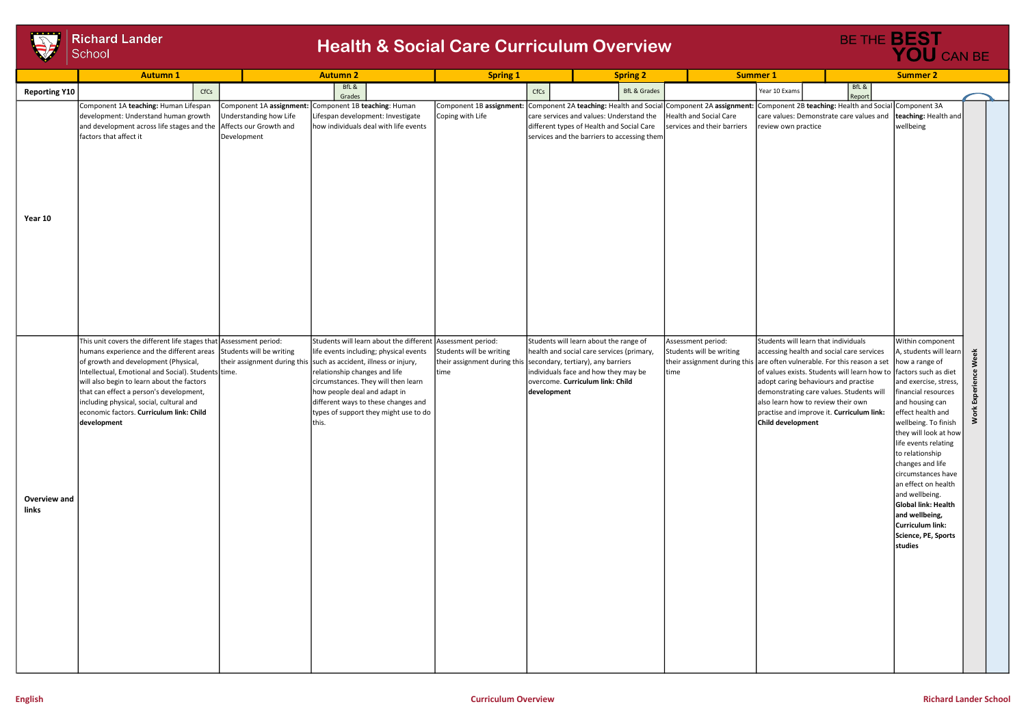

## **Richard Lander** School

## **Health & Social Care Curriculum Overview Example 2014 RESOCIAL CARGE**

|                       | <b>Autumn1</b>                                                                                                                                                                                                                                                                                                                                                                                                                          |                                       | <b>Autumn 2</b>                                                                                                                                                                                                                                                                                                                                                            | <b>Spring 1</b>                                                                                                |             |                                                                                                                                                                 |      |                                                                                                                                                           | <b>Summer 1</b><br><b>Summer 2</b>                                                                                                                                                                                                                                                                         |                 |                                                                                                                                                                                                                                                                                                                                                                                                                  |                               |  |
|-----------------------|-----------------------------------------------------------------------------------------------------------------------------------------------------------------------------------------------------------------------------------------------------------------------------------------------------------------------------------------------------------------------------------------------------------------------------------------|---------------------------------------|----------------------------------------------------------------------------------------------------------------------------------------------------------------------------------------------------------------------------------------------------------------------------------------------------------------------------------------------------------------------------|----------------------------------------------------------------------------------------------------------------|-------------|-----------------------------------------------------------------------------------------------------------------------------------------------------------------|------|-----------------------------------------------------------------------------------------------------------------------------------------------------------|------------------------------------------------------------------------------------------------------------------------------------------------------------------------------------------------------------------------------------------------------------------------------------------------------------|-----------------|------------------------------------------------------------------------------------------------------------------------------------------------------------------------------------------------------------------------------------------------------------------------------------------------------------------------------------------------------------------------------------------------------------------|-------------------------------|--|
| <b>Reporting Y10</b>  | CfCs                                                                                                                                                                                                                                                                                                                                                                                                                                    |                                       | BfL &<br>Grades                                                                                                                                                                                                                                                                                                                                                            |                                                                                                                | CfCs        | <b>BfL &amp; Grades</b>                                                                                                                                         |      |                                                                                                                                                           | Year 10 Exams                                                                                                                                                                                                                                                                                              | BfL &<br>Report |                                                                                                                                                                                                                                                                                                                                                                                                                  |                               |  |
| Year 10               | Component 1A teaching: Human Lifespan<br>development: Understand human growth<br>and development across life stages and the Affects our Growth and<br>factors that affect it                                                                                                                                                                                                                                                            | Understanding how Life<br>Development | Component 1A assignment: Component 1B teaching: Human<br>Lifespan development: Investigate<br>how individuals deal with life events                                                                                                                                                                                                                                        | Component 1B assignment: Component 2A teaching: Health and Social Component 2A assignment:<br>Coping with Life |             | care services and values: Understand the<br>different types of Health and Social Care<br>services and the barriers to accessing them                            |      | Health and Social Care<br>services and their barriers                                                                                                     | Component 2B teaching: Health and Social Component 3A<br>review own practice<br>Students will learn that individuals                                                                                                                                                                                       |                 | care values: Demonstrate care values and   teaching: Health and  <br>wellbeing                                                                                                                                                                                                                                                                                                                                   |                               |  |
| Overview and<br>links | This unit covers the different life stages that Assessment period:<br>humans experience and the different areas Students will be writing<br>of growth and development (Physical,<br>Intellectual, Emotional and Social). Students time.<br>will also begin to learn about the factors<br>that can effect a person's development,<br>including physical, social, cultural and<br>economic factors. Curriculum link: Child<br>development |                                       | Students will learn about the different Assessment period:<br>life events including; physical events<br>their assignment during this such as accident, illness or injury,<br>relationship changes and life<br>circumstances. They will then learn<br>how people deal and adapt in<br>different ways to these changes and<br>types of support they might use to do<br>this. | Students will be writing<br>their assignment during this secondary, tertiary), any barriers<br>time            | development | Students will learn about the range of<br>health and social care services (primary,<br>individuals face and how they may be<br>overcome. Curriculum link: Child | time | Assessment period:<br>Students will be writing<br>their assignment during this $\vert$ are often vulnerable. For this reason a set $\vert$ how a range of | accessing health and social care services<br>of values exists. Students will learn how to factors such as diet<br>adopt caring behaviours and practise<br>demonstrating care values. Students will<br>also learn how to review their own<br>practise and improve it. Curriculum link:<br>Child development |                 | Within component<br>A, students will learn<br>and exercise, stress,<br>financial resources<br>and housing can<br>effect health and<br>wellbeing. To finish<br>they will look at how<br>life events relating<br>to relationship<br>changes and life<br>circumstances have<br>an effect on health<br>and wellbeing.<br>Global link: Health<br>and wellbeing,<br>Curriculum link:<br>Science, PE, Sports<br>studies | Week<br>eg<br>Experie<br>Work |  |